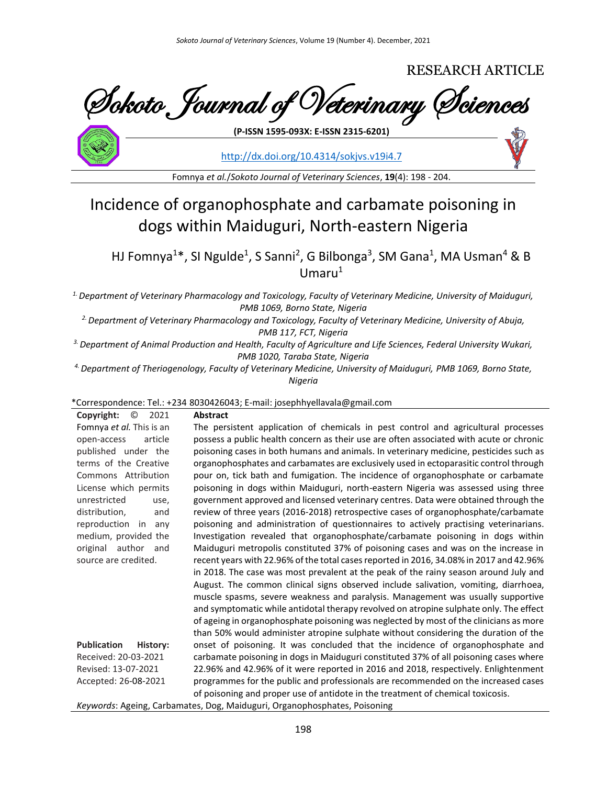# RESEARCH ARTICLE

Sokoto Journal of Veterinary Sciences **(P-ISSN 1595-093X: E-ISSN 2315-6201)**

<http://dx.doi.org/10.4314/sokjvs.v19i4.7>

Fomnya *et al.*/*Sokoto Journal of Veterinary Sciences*, **19**(4): 198 - 204.

# Incidence of organophosphate and carbamate poisoning in dogs within Maiduguri, North-eastern Nigeria

HJ Fomnya<sup>1\*</sup>, SI Ngulde<sup>1</sup>, S Sanni<sup>2</sup>, G Bilbonga<sup>3</sup>, SM Gana<sup>1</sup>, MA Usman<sup>4</sup> & B Umaru $1$ 

*1. Department of Veterinary Pharmacology and Toxicology, Faculty of Veterinary Medicine, University of Maiduguri, PMB 1069, Borno State, Nigeria*

*2. Department of Veterinary Pharmacology and Toxicology, Faculty of Veterinary Medicine, University of Abuja, PMB 117, FCT, Nigeria*

*3. Department of Animal Production and Health, Faculty of Agriculture and Life Sciences, Federal University Wukari, PMB 1020, Taraba State, Nigeria*

*4. Department of Theriogenology, Faculty of Veterinary Medicine, University of Maiduguri, PMB 1069, Borno State, Nigeria*

# \*Correspondence: Tel.: +234 8030426043; E-mail: josephhyellavala@gmail.com

**Copyright:** © 2021 Fomnya *et al.* This is an open-access article published under the terms of the Creative Commons Attribution License which permits unrestricted use, distribution, and reproduction in any medium, provided the original author and source are credited.

# **Abstract**

**Publication History:**  Received: 20-03-2021 Revised: 13-07-2021 Accepted: 26-08-2021 The persistent application of chemicals in pest control and agricultural processes possess a public health concern as their use are often associated with acute or chronic poisoning cases in both humans and animals. In veterinary medicine, pesticides such as organophosphates and carbamates are exclusively used in ectoparasitic control through pour on, tick bath and fumigation. The incidence of organophosphate or carbamate poisoning in dogs within Maiduguri, north-eastern Nigeria was assessed using three government approved and licensed veterinary centres. Data were obtained through the review of three years (2016-2018) retrospective cases of organophosphate/carbamate poisoning and administration of questionnaires to actively practising veterinarians. Investigation revealed that organophosphate/carbamate poisoning in dogs within Maiduguri metropolis constituted 37% of poisoning cases and was on the increase in recent years with 22.96% of the total cases reported in 2016, 34.08% in 2017 and 42.96% in 2018. The case was most prevalent at the peak of the rainy season around July and August. The common clinical signs observed include salivation, vomiting, diarrhoea, muscle spasms, severe weakness and paralysis. Management was usually supportive and symptomatic while antidotal therapy revolved on atropine sulphate only. The effect of ageing in organophosphate poisoning was neglected by most of the clinicians as more than 50% would administer atropine sulphate without considering the duration of the onset of poisoning. It was concluded that the incidence of organophosphate and carbamate poisoning in dogs in Maiduguri constituted 37% of all poisoning cases where 22.96% and 42.96% of it were reported in 2016 and 2018, respectively. Enlightenment programmes for the public and professionals are recommended on the increased cases of poisoning and proper use of antidote in the treatment of chemical toxicosis.

*Keywords*: Ageing, Carbamates, Dog, Maiduguri, Organophosphates, Poisoning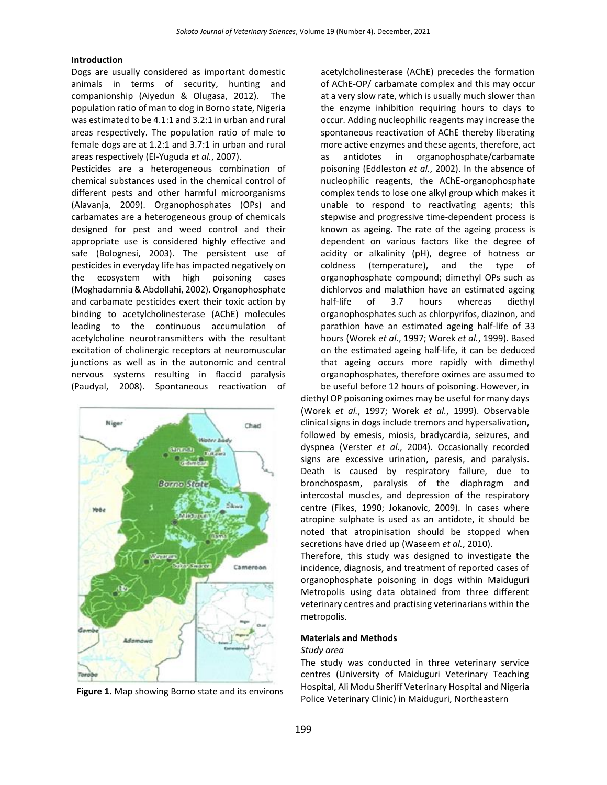# **Introduction**

Dogs are usually considered as important domestic animals in terms of security, hunting and companionship (Aiyedun & Olugasa, 2012). The population ratio of man to dog in Borno state, Nigeria was estimated to be 4.1:1 and 3.2:1 in urban and rural areas respectively. The population ratio of male to female dogs are at 1.2:1 and 3.7:1 in urban and rural areas respectively (El-Yuguda *et al.*, 2007).

Pesticides are a heterogeneous combination of chemical substances used in the chemical control of different pests and other harmful microorganisms (Alavanja, 2009). Organophosphates (OPs) and carbamates are a heterogeneous group of chemicals designed for pest and weed control and their appropriate use is considered highly effective and safe (Bolognesi, 2003). The persistent use of pesticides in everyday life has impacted negatively on the ecosystem with high poisoning cases (Moghadamnia & Abdollahi, 2002). Organophosphate and carbamate pesticides exert their toxic action by binding to acetylcholinesterase (AChE) molecules leading to the continuous accumulation of acetylcholine neurotransmitters with the resultant excitation of cholinergic receptors at neuromuscular junctions as well as in the autonomic and central nervous systems resulting in flaccid paralysis (Paudyal, 2008). Spontaneous reactivation of



**Figure 1.** Map showing Borno state and its environs

acetylcholinesterase (AChE) precedes the formation of AChE-OP/ carbamate complex and this may occur at a very slow rate, which is usually much slower than the enzyme inhibition requiring hours to days to occur. Adding nucleophilic reagents may increase the spontaneous reactivation of AChE thereby liberating more active enzymes and these agents, therefore, act as antidotes in organophosphate/carbamate poisoning (Eddleston *et al.*, 2002). In the absence of nucleophilic reagents, the AChE-organophosphate complex tends to lose one alkyl group which makes it unable to respond to reactivating agents; this stepwise and progressive time-dependent process is known as ageing. The rate of the ageing process is dependent on various factors like the degree of acidity or alkalinity (pH), degree of hotness or coldness (temperature), and the type of organophosphate compound; dimethyl OPs such as dichlorvos and malathion have an estimated ageing half-life of 3.7 hours whereas diethyl organophosphates such as chlorpyrifos, diazinon, and parathion have an estimated ageing half-life of 33 hours (Worek *et al.*, 1997; Worek *et al.*, 1999). Based on the estimated ageing half-life, it can be deduced that ageing occurs more rapidly with dimethyl organophosphates, therefore oximes are assumed to be useful before 12 hours of poisoning. However, in

diethyl OP poisoning oximes may be useful for many days (Worek *et al.*, 1997; Worek *et al.*, 1999). Observable clinical signs in dogs include tremors and hypersalivation, followed by emesis, miosis, bradycardia, seizures, and dyspnea (Verster *et al.*, 2004). Occasionally recorded signs are excessive urination, paresis, and paralysis. Death is caused by respiratory failure, due to bronchospasm, paralysis of the diaphragm and intercostal muscles, and depression of the respiratory centre (Fikes, 1990; Jokanovic, 2009). In cases where atropine sulphate is used as an antidote, it should be noted that atropinisation should be stopped when secretions have dried up (Waseem *et al.*, 2010).

Therefore, this study was designed to investigate the incidence, diagnosis, and treatment of reported cases of organophosphate poisoning in dogs within Maiduguri Metropolis using data obtained from three different veterinary centres and practising veterinarians within the metropolis.

# **Materials and Methods**

#### *Study area*

The study was conducted in three veterinary service centres (University of Maiduguri Veterinary Teaching Hospital, Ali Modu Sheriff Veterinary Hospital and Nigeria Police Veterinary Clinic) in Maiduguri, Northeastern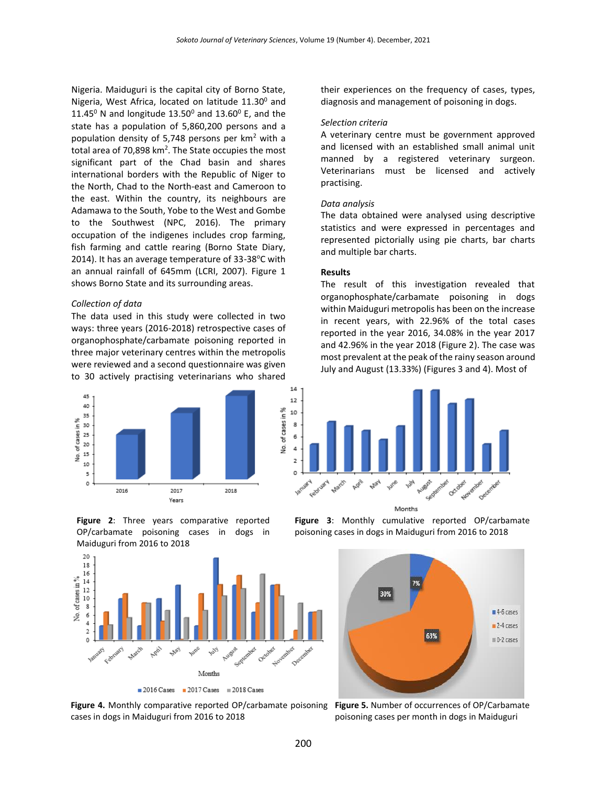Nigeria. Maiduguri is the capital city of Borno State, Nigeria, West Africa, located on latitude  $11.30^{\circ}$  and 11.45<sup>0</sup> N and longitude 13.50<sup>0</sup> and 13.60<sup>0</sup> E, and the state has a population of 5,860,200 persons and a population density of 5,748 persons per  $km<sup>2</sup>$  with a total area of 70,898  $km^2$ . The State occupies the most significant part of the Chad basin and shares international borders with the Republic of Niger to the North, Chad to the North-east and Cameroon to the east. Within the country, its neighbours are Adamawa to the South, Yobe to the West and Gombe to the Southwest (NPC, 2016). The primary occupation of the indigenes includes crop farming, fish farming and cattle rearing (Borno State Diary, 2014). It has an average temperature of  $33-38$ °C with an annual rainfall of 645mm (LCRI, 2007). Figure 1 shows Borno State and its surrounding areas.

# *Collection of data*

The data used in this study were collected in two ways: three years (2016-2018) retrospective cases of organophosphate/carbamate poisoning reported in three major veterinary centres within the metropolis were reviewed and a second questionnaire was given to 30 actively practising veterinarians who shared



**Figure 2**: Three years comparative reported OP/carbamate poisoning cases in dogs in Maiduguri from 2016 to 2018



**Figure 4.** Monthly comparative reported OP/carbamate poisoning **Figure 5.** Number of occurrences of OP/Carbamate cases in dogs in Maiduguri from 2016 to 2018

their experiences on the frequency of cases, types, diagnosis and management of poisoning in dogs.

#### *Selection criteria*

A veterinary centre must be government approved and licensed with an established small animal unit manned by a registered veterinary surgeon. Veterinarians must be licensed and actively practising.

#### *Data analysis*

The data obtained were analysed using descriptive statistics and were expressed in percentages and represented pictorially using pie charts, bar charts and multiple bar charts.

# **Results**

The result of this investigation revealed that organophosphate/carbamate poisoning in dogs within Maiduguri metropolis has been on the increase in recent years, with 22.96% of the total cases reported in the year 2016, 34.08% in the year 2017 and 42.96% in the year 2018 (Figure 2). The case was most prevalent at the peak of the rainy season around July and August (13.33%) (Figures 3 and 4). Most of



Months

**Figure 3**: Monthly cumulative reported OP/carbamate poisoning cases in dogs in Maiduguri from 2016 to 2018



poisoning cases per month in dogs in Maiduguri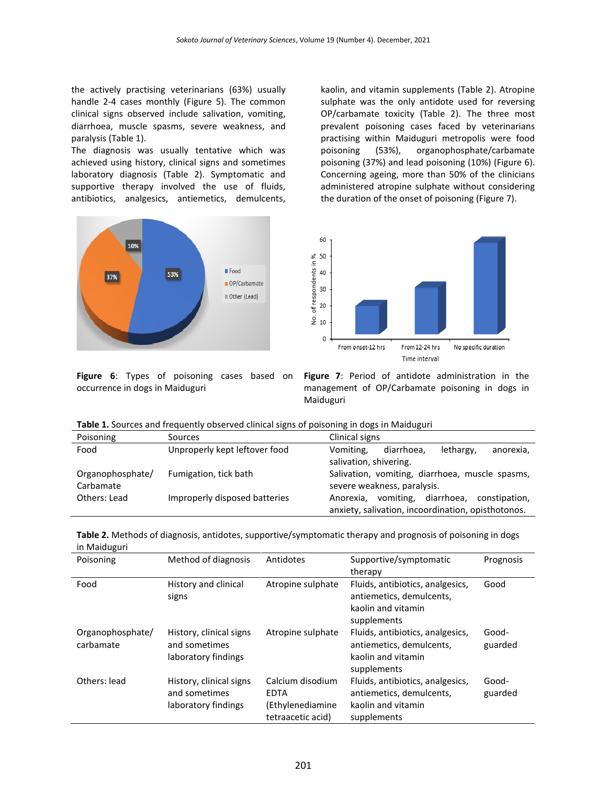the actively practising veterinarians (63%) usually handle 2-4 cases monthly (Figure 5). The common clinical signs observed include salivation, vomiting, diarrhoea, muscle spasms, severe weakness, and paralysis (Table 1).

The diagnosis was usually tentative which was achieved using history, clinical signs and sometimes laboratory diagnosis (Table 2). Symptomatic and supportive therapy involved the use of fluids, antibiotics, analgesics, antiemetics, demulcents,



kaolin, and vitamin supplements (Table 2). Atropine sulphate was the only antidote used for reversing OP/carbamate toxicity (Table 2). The three most prevalent poisoning cases faced by veterinarians practising within Maiduguri metropolis were food poisoning (53%), organophosphate/carbamate poisoning (37%) and lead poisoning (10%) (Figure 6). Concerning ageing, more than 50% of the clinicians administered atropine sulphate without considering the duration of the onset of poisoning (Figure 7).



**Figure 6**: Types of poisoning cases based on occurrence in dogs in Maiduguri

**Figure 7**: Period of antidote administration in the management of OP/Carbamate poisoning in dogs in Maiduguri

| Poisoning        | Sources                       | Clinical signs                                     |  |  |
|------------------|-------------------------------|----------------------------------------------------|--|--|
| Food             | Unproperly kept leftover food | lethargy,<br>diarrhoea,<br>Vomiting,<br>anorexia,  |  |  |
|                  |                               | salivation, shivering.                             |  |  |
| Organophosphate/ | Fumigation, tick bath         | Salivation, vomiting, diarrhoea, muscle spasms,    |  |  |
| Carbamate        |                               | severe weakness, paralysis.                        |  |  |
| Others: Lead     | Improperly disposed batteries | vomiting, diarrhoea,<br>constipation.<br>Anorexia. |  |  |
|                  |                               | anxiety, salivation, incoordination, opisthotonos. |  |  |

| Table 2. Methods of diagnosis, antidotes, supportive/symptomatic therapy and prognosis of poisoning in dogs |  |
|-------------------------------------------------------------------------------------------------------------|--|
| in Maiduguri                                                                                                |  |

| Poisoning                     | Method of diagnosis                                             | Antidotes                                                                | Supportive/symptomatic<br>therapy                                                                 | Prognosis        |
|-------------------------------|-----------------------------------------------------------------|--------------------------------------------------------------------------|---------------------------------------------------------------------------------------------------|------------------|
| Food                          | History and clinical<br>signs                                   | Atropine sulphate                                                        | Fluids, antibiotics, analgesics,<br>antiemetics, demulcents,<br>kaolin and vitamin<br>supplements | Good             |
| Organophosphate/<br>carbamate | History, clinical signs<br>and sometimes<br>laboratory findings | Atropine sulphate                                                        | Fluids, antibiotics, analgesics,<br>antiemetics, demulcents,<br>kaolin and vitamin<br>supplements | Good-<br>guarded |
| Others: lead                  | History, clinical signs<br>and sometimes<br>laboratory findings | Calcium disodium<br><b>EDTA</b><br>(Ethylenediamine<br>tetraacetic acid) | Fluids, antibiotics, analgesics,<br>antiemetics, demulcents,<br>kaolin and vitamin<br>supplements | Good-<br>guarded |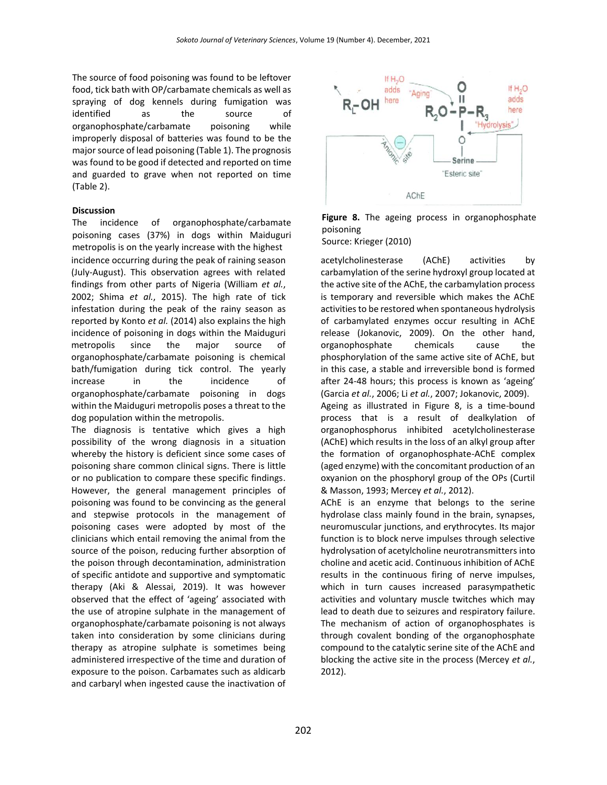The source of food poisoning was found to be leftover food, tick bath with OP/carbamate chemicals as well as spraying of dog kennels during fumigation was identified as the source of organophosphate/carbamate poisoning while improperly disposal of batteries was found to be the major source of lead poisoning (Table 1). The prognosis was found to be good if detected and reported on time and guarded to grave when not reported on time (Table 2).

# **Discussion**

The incidence of organophosphate/carbamate poisoning cases (37%) in dogs within Maiduguri metropolis is on the yearly increase with the highest incidence occurring during the peak of raining season (July-August). This observation agrees with related findings from other parts of Nigeria (William *et al.*, 2002; Shima *et al.*, 2015). The high rate of tick infestation during the peak of the rainy season as reported by Konto *et al.* (2014) also explains the high incidence of poisoning in dogs within the Maiduguri metropolis since the major source of organophosphate/carbamate poisoning is chemical bath/fumigation during tick control. The yearly increase in the incidence of organophosphate/carbamate poisoning in dogs within the Maiduguri metropolis poses a threat to the dog population within the metropolis.

The diagnosis is tentative which gives a high possibility of the wrong diagnosis in a situation whereby the history is deficient since some cases of poisoning share common clinical signs. There is little or no publication to compare these specific findings. However, the general management principles of poisoning was found to be convincing as the general and stepwise protocols in the management of poisoning cases were adopted by most of the clinicians which entail removing the animal from the source of the poison, reducing further absorption of the poison through decontamination, administration of specific antidote and supportive and symptomatic therapy (Aki & Alessai, 2019). It was however observed that the effect of 'ageing' associated with the use of atropine sulphate in the management of organophosphate/carbamate poisoning is not always taken into consideration by some clinicians during therapy as atropine sulphate is sometimes being administered irrespective of the time and duration of exposure to the poison. Carbamates such as aldicarb and carbaryl when ingested cause the inactivation of



**Figure 8.** The ageing process in organophosphate poisoning Source: Krieger (2010)

acetylcholinesterase (AChE) activities by carbamylation of the serine hydroxyl group located at the active site of the AChE, the carbamylation process is temporary and reversible which makes the AChE activities to be restored when spontaneous hydrolysis of carbamylated enzymes occur resulting in AChE release (Jokanovic, 2009). On the other hand, organophosphate chemicals cause the phosphorylation of the same active site of AChE, but in this case, a stable and irreversible bond is formed after 24-48 hours; this process is known as 'ageing' (Garcia *et al.*, 2006; Li *et al.*, 2007; Jokanovic, 2009). Ageing as illustrated in Figure 8, is a time-bound process that is a result of dealkylation of organophosphorus inhibited acetylcholinesterase (AChE) which results in the loss of an alkyl group after the formation of organophosphate-AChE complex (aged enzyme) with the concomitant production of an oxyanion on the phosphoryl group of the OPs (Curtil & Masson, 1993; Mercey *et al.*, 2012).

AChE is an enzyme that belongs to the serine hydrolase class mainly found in the brain, synapses, neuromuscular junctions, and erythrocytes. Its major function is to block nerve impulses through selective hydrolysation of acetylcholine neurotransmitters into choline and acetic acid. Continuous inhibition of AChE results in the continuous firing of nerve impulses, which in turn causes increased parasympathetic activities and voluntary muscle twitches which may lead to death due to seizures and respiratory failure. The mechanism of action of organophosphates is through covalent bonding of the organophosphate compound to the catalytic serine site of the AChE and blocking the active site in the process (Mercey *et al.*, 2012).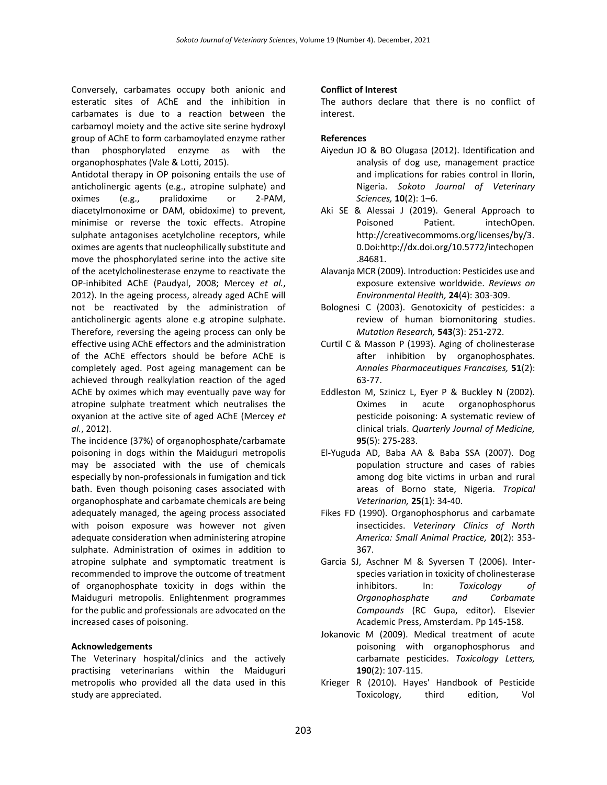Conversely, carbamates occupy both anionic and esteratic sites of AChE and the inhibition in carbamates is due to a reaction between the carbamoyl moiety and the active site serine hydroxyl group of AChE to form carbamoylated enzyme rather than phosphorylated enzyme as with the organophosphates (Vale & Lotti, 2015).

Antidotal therapy in OP poisoning entails the use of anticholinergic agents (e.g., atropine sulphate) and oximes (e.g., pralidoxime or 2-PAM, diacetylmonoxime or DAM, obidoxime) to prevent, minimise or reverse the toxic effects. Atropine sulphate antagonises acetylcholine receptors, while oximes are agents that nucleophilically substitute and move the phosphorylated serine into the active site of the acetylcholinesterase enzyme to reactivate the OP-inhibited AChE (Paudyal, 2008; Mercey *et al.*, 2012). In the ageing process, already aged AChE will not be reactivated by the administration of anticholinergic agents alone e.g atropine sulphate. Therefore, reversing the ageing process can only be effective using AChE effectors and the administration of the AChE effectors should be before AChE is completely aged. Post ageing management can be achieved through realkylation reaction of the aged AChE by oximes which may eventually pave way for atropine sulphate treatment which neutralises the oxyanion at the active site of aged AChE (Mercey *et al.*, 2012).

The incidence (37%) of organophosphate/carbamate poisoning in dogs within the Maiduguri metropolis may be associated with the use of chemicals especially by non-professionals in fumigation and tick bath. Even though poisoning cases associated with organophosphate and carbamate chemicals are being adequately managed, the ageing process associated with poison exposure was however not given adequate consideration when administering atropine sulphate. Administration of oximes in addition to atropine sulphate and symptomatic treatment is recommended to improve the outcome of treatment of organophosphate toxicity in dogs within the Maiduguri metropolis. Enlightenment programmes for the public and professionals are advocated on the increased cases of poisoning.

# **Acknowledgements**

The Veterinary hospital/clinics and the actively practising veterinarians within the Maiduguri metropolis who provided all the data used in this study are appreciated.

# **Conflict of Interest**

The authors declare that there is no conflict of interest.

# **References**

- Aiyedun JO & BO Olugasa (2012). Identification and analysis of dog use, management practice and implications for rabies control in Ilorin, Nigeria. *Sokoto Journal of Veterinary Sciences,* **10**(2): 1–6.
- Aki SE & Alessai J (2019). General Approach to Poisoned Patient. intechOpen. http://creativecommoms.org/licenses/by/3. 0.Doi:http://dx.doi.org/10.5772/intechopen .84681.
- Alavanja MCR (2009). Introduction: Pesticides use and exposure extensive worldwide. *Reviews on Environmental Health,* **24**(4): 303-309.
- Bolognesi C (2003). Genotoxicity of pesticides: a review of human biomonitoring studies. *Mutation Research,* **543**(3): 251-272.
- Curtil C & Masson P (1993). Aging of cholinesterase after inhibition by organophosphates. *Annales Pharmaceutiques Francaises,* **51**(2): 63-77.
- Eddleston M, Szinicz L, Eyer P & Buckley N (2002). Oximes in acute organophosphorus pesticide poisoning: A systematic review of clinical trials. *Quarterly Journal of Medicine,* **95**(5): 275-283.
- El-Yuguda AD, Baba AA & Baba SSA (2007). Dog population structure and cases of rabies among dog bite victims in urban and rural areas of Borno state, Nigeria. *Tropical Veterinarian,* **25**(1): 34-40.
- Fikes FD (1990). Organophosphorus and carbamate insecticides. *Veterinary Clinics of North America: Small Animal Practice,* **20**(2): 353- 367.
- Garcia SJ, Aschner M & Syversen T (2006). Interspecies variation in toxicity of cholinesterase inhibitors. In: *Toxicology of Organophosphate and Carbamate Compounds* (RC Gupa, editor). Elsevier Academic Press, Amsterdam. Pp 145-158.
- Jokanovic M (2009). Medical treatment of acute poisoning with organophosphorus and carbamate pesticides. *Toxicology Letters,* **190**(2): 107-115.
- Krieger R (2010). Hayes' Handbook of Pesticide Toxicology, third edition, Vol